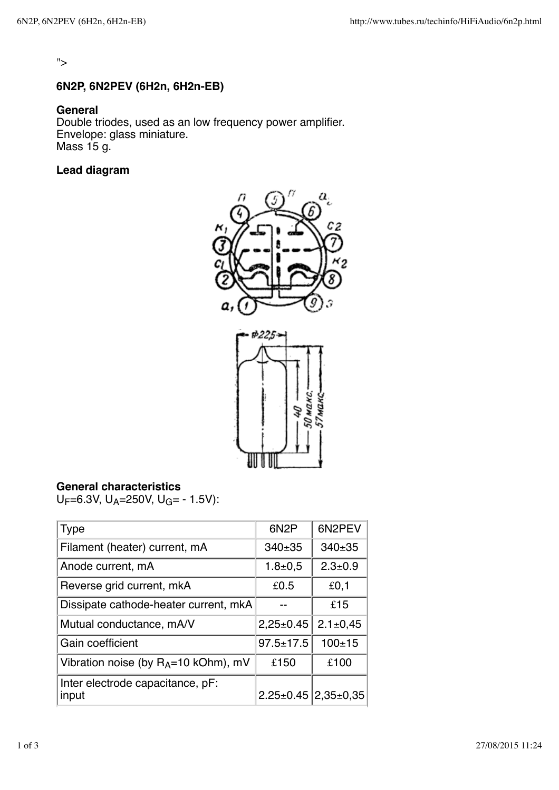">

#### **6N2P, 6N2PEV (6H2n, 6H2n-EB)**

#### **General**

Double triodes, used as an low frequency power amplifier. Envelope: glass miniature. Mass 15 g.

### **Lead diagram**



# **General characteristics**

 $U_F$ =6.3V,  $U_A$ =250V,  $U_G$ = - 1.5V):

| <b>Type</b>                               | 6N <sub>2</sub> P | 6N2PEV                          |
|-------------------------------------------|-------------------|---------------------------------|
| Filament (heater) current, mA             | 340±35            | $340 \pm 35$                    |
| Anode current, mA                         | $1.8 + 0.5$       | $2.3 \pm 0.9$                   |
| Reverse grid current, mkA                 | £0.5              | £0,1                            |
| Dissipate cathode-heater current, mkA     |                   | £15                             |
| Mutual conductance, mA/V                  | $2,25\pm0.45$     | $2.1 \pm 0.45$                  |
| Gain coefficient                          | $97.5 \pm 17.5$   | $100 + 15$                      |
| Vibration noise (by $R_A=10$ kOhm), mV    | £150              | £100                            |
| Inter electrode capacitance, pF:<br>input |                   | $2.25 \pm 0.45$ 2,35 $\pm 0.35$ |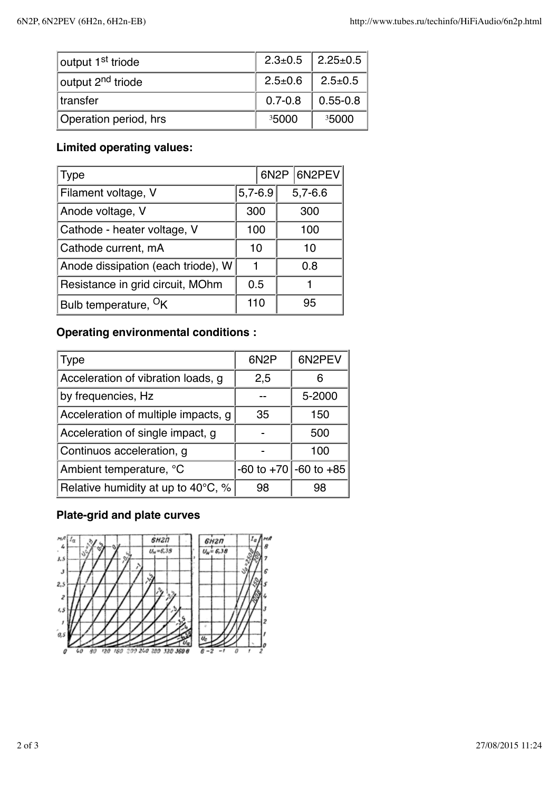| output 1 <sup>st</sup> triode |                               | $2.3 \pm 0.5$ 2.25 $\pm 0.5$ |
|-------------------------------|-------------------------------|------------------------------|
| output 2 <sup>nd</sup> triode | $2.5 \pm 0.6$   2.5 $\pm 0.5$ |                              |
| <b>Itransfer</b>              | $0.7 - 0.8$                   | $0.55 - 0.8$                 |
| Operation period, hrs         | 35000                         | 35000                        |

### **Limited operating values:**

| Type                               |           | 6N <sub>2</sub> P | 6N2PEV    |
|------------------------------------|-----------|-------------------|-----------|
| Filament voltage, V                | $5,7-6.9$ |                   | $5,7-6.6$ |
| Anode voltage, V                   | 300       |                   | 300       |
| Cathode - heater voltage, V        | 100       |                   | 100       |
| Cathode current, mA                | 10        |                   | 10        |
| Anode dissipation (each triode), W |           |                   | 0.8       |
| Resistance in grid circuit, MOhm   | 0.5       |                   |           |
| Bulb temperature, <sup>O</sup> K   | 110       |                   | 95        |

# **Operating environmental conditions :**

| Type                                          | 6N <sub>2</sub> P | 6N2PEV                        |
|-----------------------------------------------|-------------------|-------------------------------|
| Acceleration of vibration loads, g            | 2,5               |                               |
| by frequencies, Hz                            |                   | 5-2000                        |
| Acceleration of multiple impacts, g           | 35                | 150                           |
| Acceleration of single impact, g              |                   | 500                           |
| Continuos acceleration, g                     |                   | 100                           |
| Ambient temperature, °C                       |                   | $-60$ to $+70$ $-60$ to $+85$ |
| Relative humidity at up to 40 $^{\circ}$ C, % | 98                | 98                            |

### **Plate-grid and plate curves**